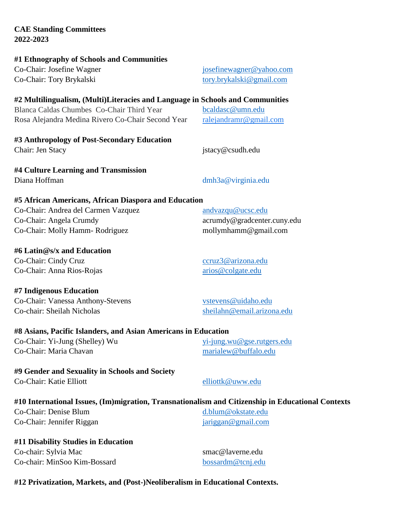# **CAE Standing Committees 2022-2023 #1 Ethnography of Schools and Communities**

Co-Chair: Josefine Wagner [josefinewagner@yahoo.com](mailto:josefinewagner@yahoo.com) Co-Chair: Tory Brykalski [tory.brykalski@gmail.com](mailto:tory.brykalski@gmail.com)

## **#2 Multilingualism, (Multi)Literacies and Language in Schools and Communities**

Blanca Caldas Chumbes Co-Chair Third Year [bcaldasc@umn.edu](mailto:bcaldasc@umn.edu) Rosa Alejandra Medina Rivero Co-Chair Second Year [ralejandramr@gmail.com](mailto:ralejandramr@gmail.com)

**#3 Anthropology of Post-Secondary Education** Chair: Jen Stacy istacy@csudh.edu

**#4 Culture Learning and Transmission** Diana Hoffman dmh3a@virginia.edu

## **#5 African Americans, African Diaspora and Education**

| Co-Chair: Andrea del Carmen Vazquez | $and$ vazqu $@$ ucsc.edu    |
|-------------------------------------|-----------------------------|
| Co-Chair: Angela Crumdy             | acrumdy@gradcenter.cuny.edu |
| Co-Chair: Molly Hamm- Rodriguez     | mollymhamm@gmail.com        |

## **#6 Latin@s/x and Education**

Co-Chair: Cindy Cruz compared a compared control of the compared control of the compared control of the compared control of the control of the control of the control of the control of the control of the control of the cont Co-Chair: Anna Rios-Rojas arios @colgate.edu

**#7 Indigenous Education**

Co-Chair: Vanessa Anthony-Stevens vstevens wstevens @uidaho.edu Co-chair: Sheilah Nicholas [sheilahn@email.arizona.edu](mailto:sheilahn@email.arizona.edu)

## **#8 Asians, Pacific Islanders, and Asian Americans in Education**

Co-Chair: Yi-Jung (Shelley) Wu [yi-jung.wu@gse.rutgers.edu](mailto:yi-jung.wu@gse.rutgers.edu) Co-Chair: Maria Chavan [marialew@buffalo.edu](mailto:marialew@buffalo.edu)

**#9 Gender and Sexuality in Schools and Society** Co-Chair: Katie Elliott [elliottk@uww.edu](mailto:elliottk@uww.edu)

## **#10 International Issues, (Im)migration, Transnationalism and Citizenship in Educational Contexts**

Co-Chair: Denise Blum [d.blum@okstate.edu](mailto:d.blum@okstate.edu) Co-Chair: Jennifer Riggan is a state of the state of the state of the state of the state of the state of the state of the state of the state of the state of the state of the state of the state of the state of the state of

**#11 Disability Studies in Education** Co-chair: Sylvia Mac smac@laverne.edu Co-chair: MinSoo Kim-Bossard [bossardm@tcnj.edu](mailto:bossardm@tcnj.edu)

## **#12 Privatization, Markets, and (Post-)Neoliberalism in Educational Contexts.**